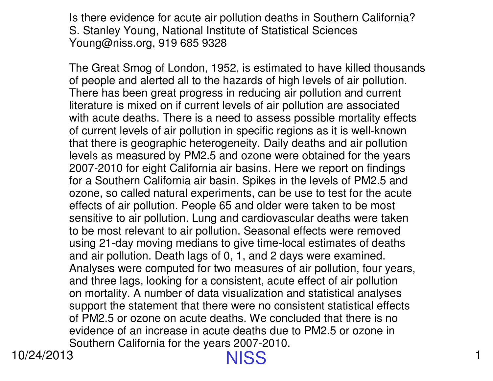Is there evidence for acute air pollution deaths in Southern California?S. Stanley Young, National Institute of Statistical SciencesYoung@niss.org, 919 685 9328

The Great Smog of London, 1952, is estimated to have killed thousands of people and alerted all to the hazards of high levels of air pollution. There has been great progress in reducing air pollution and current literature is mixed on if current levels of air pollution are associated with acute deaths. There is a need to assess possible mortality effects of current levels of air pollution in specific regions as it is well-known that there is geographic heterogeneity. Daily deaths and air pollution levels as measured by PM2.5 and ozone were obtained for the years 2007-2010 for eight California air basins. Here we report on findings for a Southern California air basin. Spikes in the levels of PM2.5 and ozone, so called natural experiments, can be use to test for the acute effects of air pollution. People 65 and older were taken to be most sensitive to air pollution. Lung and cardiovascular deaths were taken to be most relevant to air pollution. Seasonal effects were removed using 21-day moving medians to give time-local estimates of deaths and air pollution. Death lags of 0, 1, and 2 days were examined. Analyses were computed for two measures of air pollution, four years,and three lags, looking for a consistent, acute effect of air pollution on mortality. A number of data visualization and statistical analyses support the statement that there were no consistent statistical effects of PM2.5 or ozone on acute deaths. We concluded that there is no evidence of an increase in acute deaths due to PM2.5 or ozone inSouthern California for the years 2007-2010.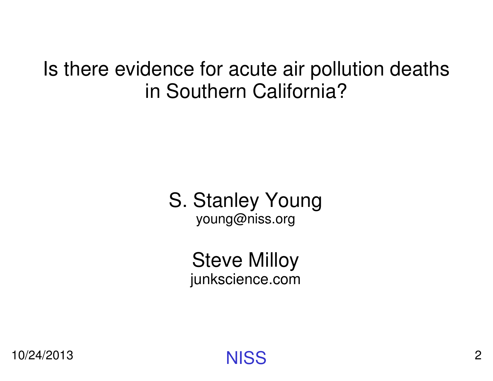#### Is there evidence for acute air pollution deaths in Southern California?

#### S. Stanley Youngyoung@niss.org

Steve Milloyjunkscience.com

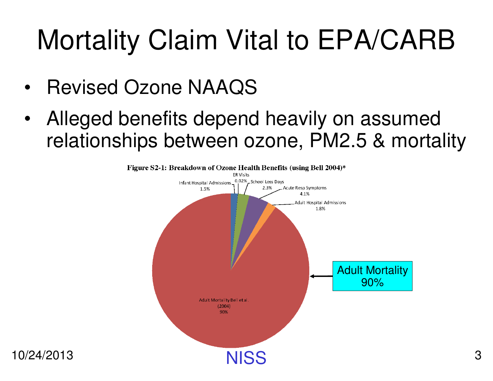# Mortality Claim Vital to EPA/CARB

- •Revised Ozone NAAQS
- • Alleged benefits depend heavily on assumed relationships between ozone, PM2.5 & mortality

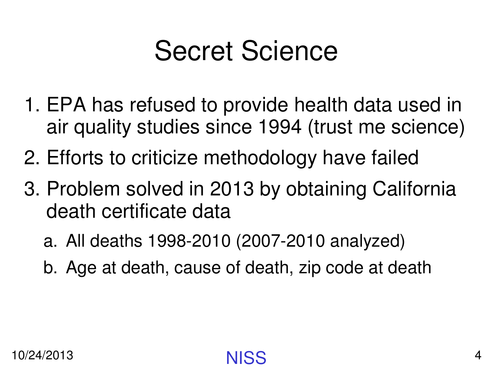#### Secret Science

- 1. EPA has refused to provide health data used in air quality studies since 1994 (trust me science)
- 2. Efforts to criticize methodology have failed
- 3. Problem solved in 2013 by obtaining California death certificate data
	- a. All deaths 1998-2010 (2007-2010 analyzed)
	- b. Age at death, cause of death, zip code at death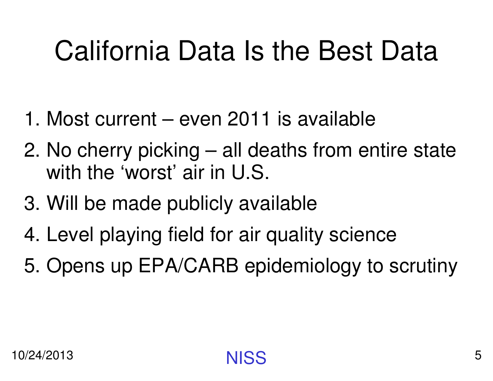# California Data Is the Best Data

- 1. Most current even 2011 is available
- 2. No cherry picking all deaths from entire state with the 'worst' air in U.S.
- 3. Will be made publicly available
- 4. Level playing field for air quality science
- 5. Opens up EPA/CARB epidemiology to scrutiny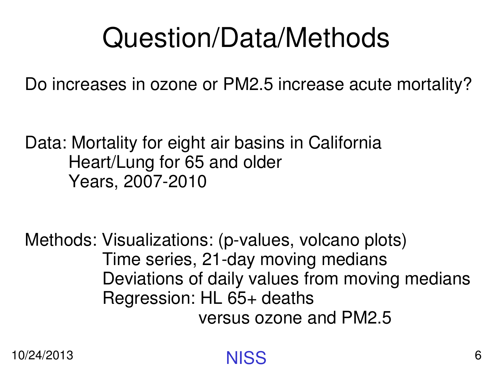#### Question/Data/Methods

Do increases in ozone or PM2.5 increase acute mortality?

Data: Mortality for eight air basins in CaliforniaHeart/Lung for 65 and olderYears, 2007-2010

Methods: Visualizations: (p-values, volcano plots)Time series, 21-day moving medians Deviations of daily values from moving mediansRegression: HL 65+ deaths versus ozone and PM2.5

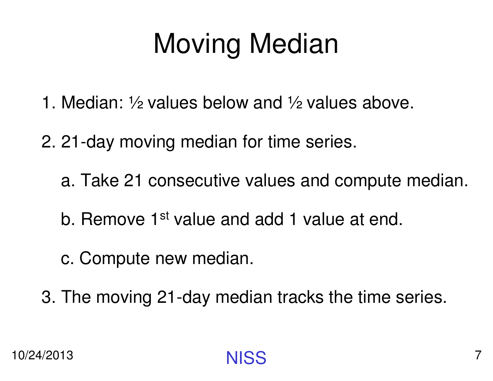# Moving Median

- 1. Median: ½ values below and ½ values above.
- 2. 21-day moving median for time series.
	- a. Take 21 consecutive values and compute median.
	- b. Remove 1<sup>st</sup> value and add 1 value at end.
	- c. Compute new median.
- 3. The moving 21-day median tracks the time series.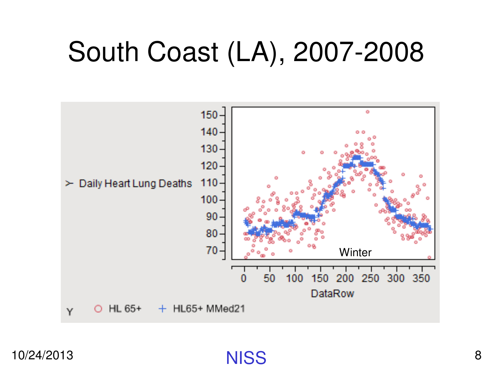#### South Coast (LA), 2007-2008



**NISS** S<sub>8</sub>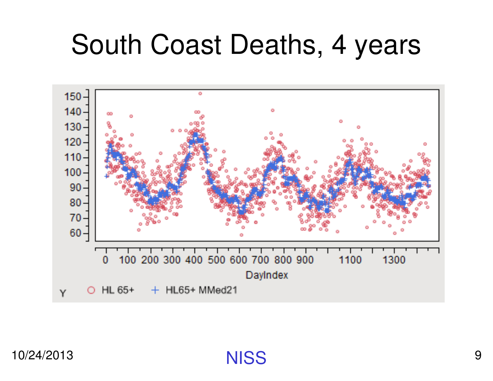#### South Coast Deaths, 4 years

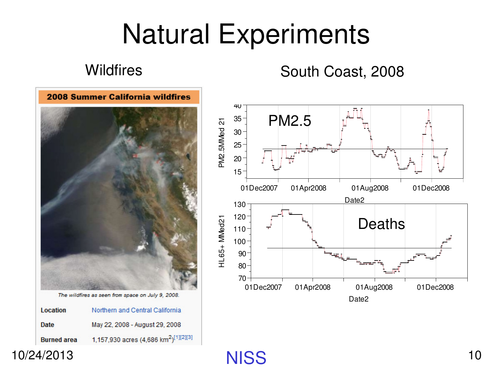#### Natural Experiments

#### **Wildfires**

#### South Coast, 2008



The wildfires as seen from space on July 9, 2008.

| Location           | Northern and Central California                              |
|--------------------|--------------------------------------------------------------|
| Date               | May 22, 2008 - August 29, 2008                               |
| <b>Burned area</b> | 1,157,930 acres (4,686 km <sup>2</sup> ) <sup>[1][2][3</sup> |

10/24/2013



**NISS** S 10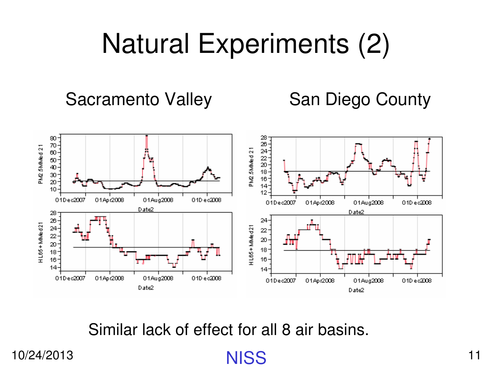### Natural Experiments (2)

Sacramento Valley San Diego County



Similar lack of effect for all 8 air basins.

**NISS** 

10/24/2013

**S** 11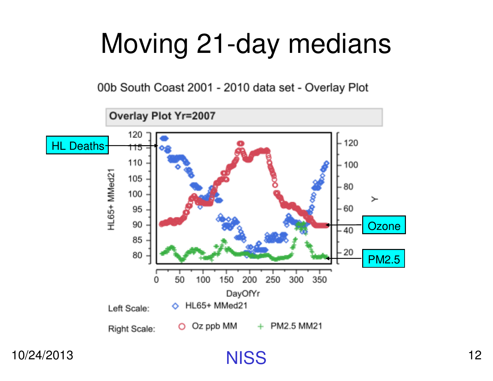### Moving 21-day medians

00b South Coast 2001 - 2010 data set - Overlay Plot



**NISS**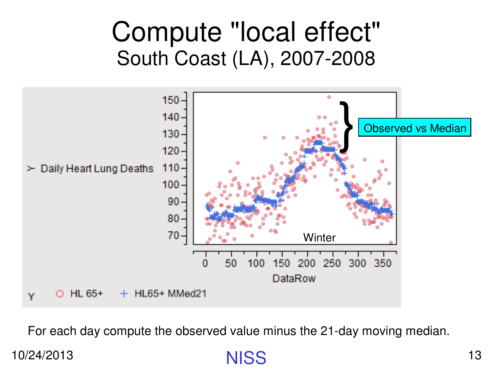#### Compute "local effect"South Coast (LA), 2007-2008



For each day compute the observed value minus the 21-day moving median.

**NISS**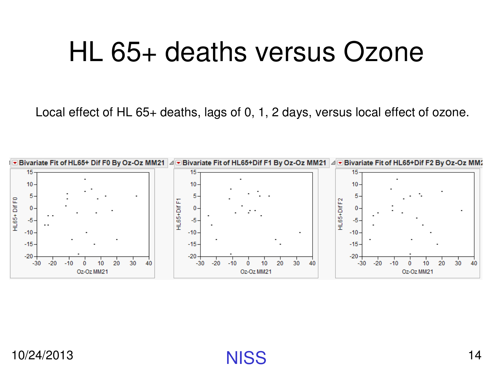#### HL 65+ deaths versus Ozone

Local effect of HL 65+ deaths, lags of 0, 1, 2 days, versus local effect of ozone.



**NISS**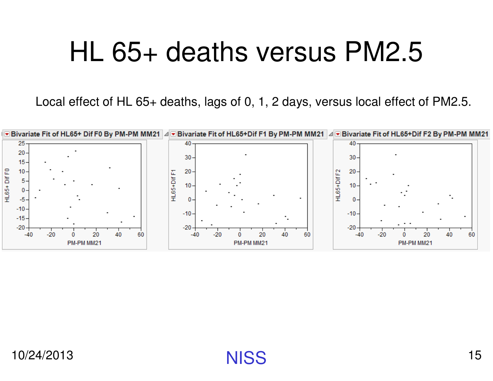#### HL 65+ deaths versus PM2.5

Local effect of HL 65+ deaths, lags of 0, 1, 2 days, versus local effect of PM2.5.

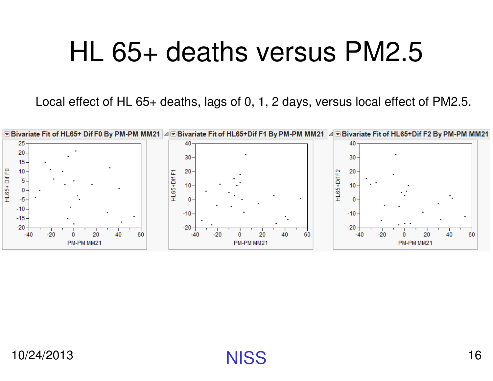#### HL 65+ deaths versus PM2.5

Local effect of HL 65+ deaths, lags of 0, 1, 2 days, versus local effect of PM2.5.

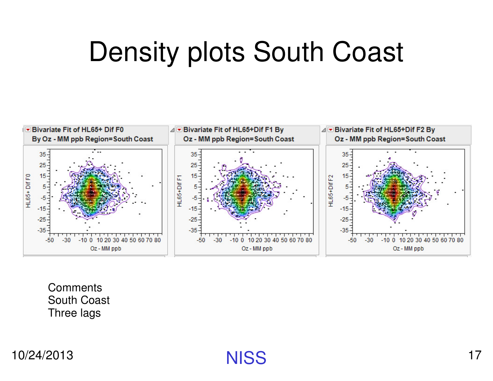#### Density plots South Coast



**Comments**  South CoastThree lags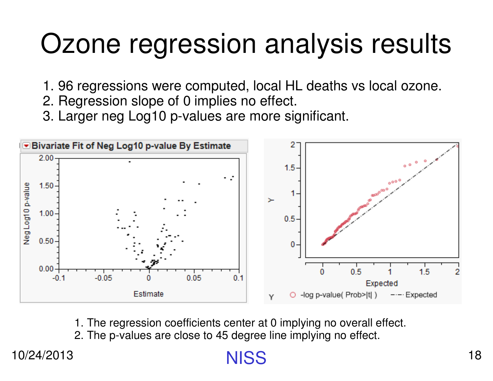#### Ozone regression analysis results

- 1. 96 regressions were computed, local HL deaths vs local ozone.
- 2. Regression slope of 0 implies no effect.
- 3. Larger neg Log10 p-values are more significant.



1. The regression coefficients center at 0 implying no overall effect.

2. The p-values are close to 45 degree line implying no effect.

10/24/2013

**NISS**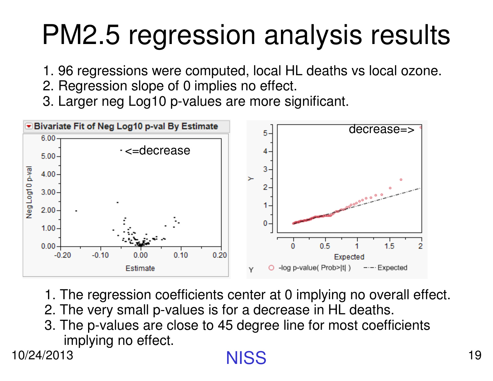# PM2.5 regression analysis results

- 1. 96 regressions were computed, local HL deaths vs local ozone.
- 2. Regression slope of 0 implies no effect.
- 3. Larger neg Log10 p-values are more significant.



- 1. The regression coefficients center at 0 implying no overall effect.
- 2. The very small p-values is for a decrease in HL deaths.
- 3. The p-values are close to 45 degree line for most coefficientsimplying no effect.

10/24/2013

#### **NISS**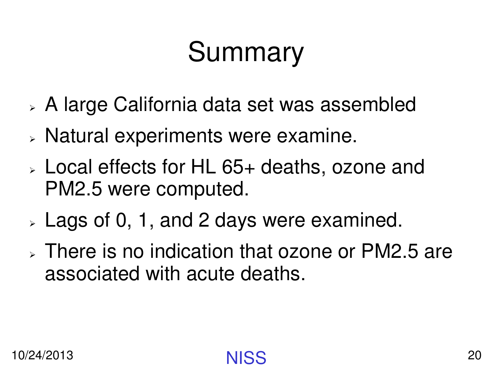# Summary

- $\blacktriangleright$ A large California data set was assembled
- ➤  $>$  Natural experiments were examine.
- $\blacktriangleright$  Local effects for HL 65+ deaths, ozone and PM2.5 were computed.
- ➤  $_{\color{red}>}$  Lags of 0, 1, and 2 days were examined.
- ➤ There is no indication that ozone or PM2.5 are associated with acute deaths.